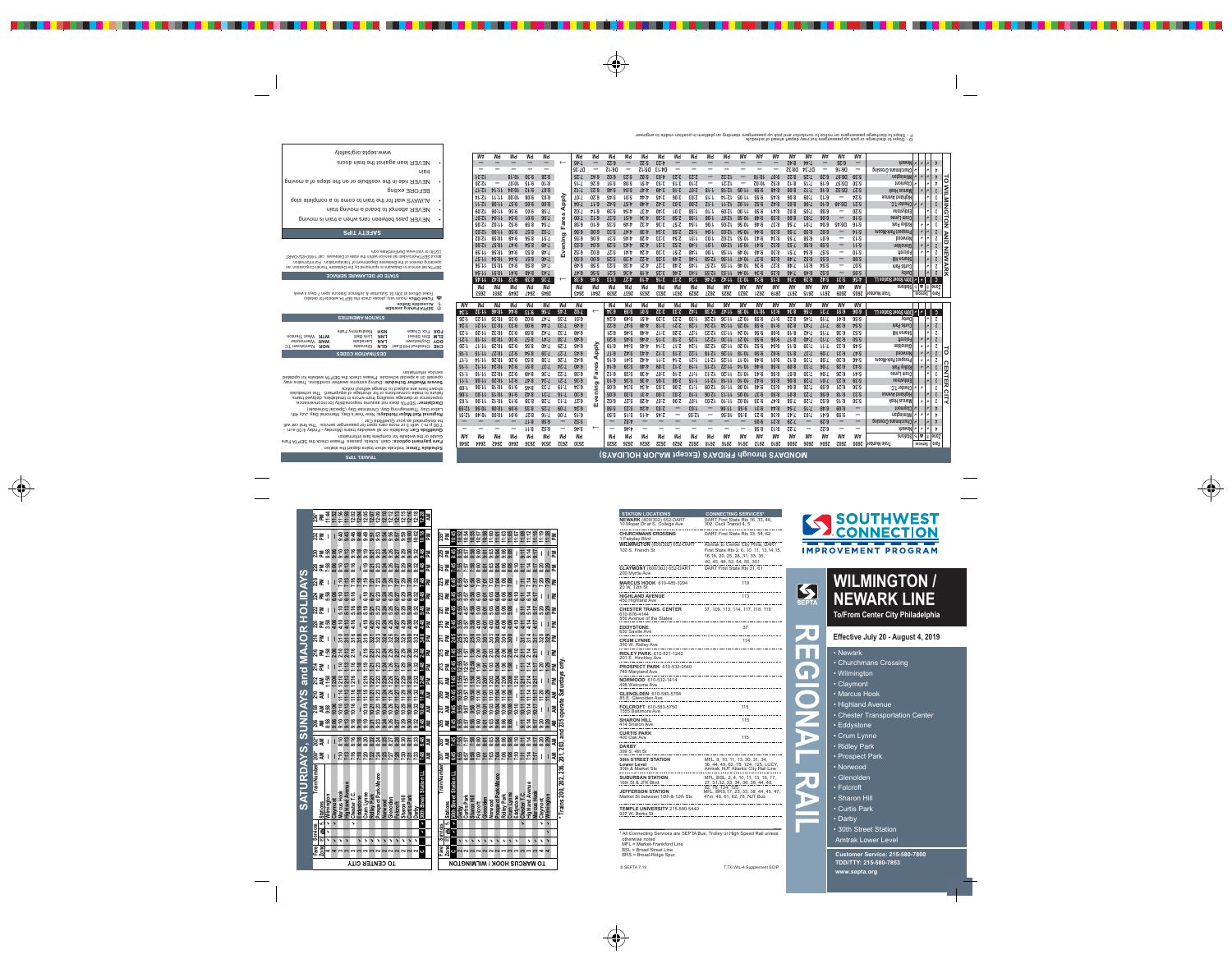| <b>STATION LOCATIONS</b>                                                 | <b>CONNECTING SERVICES*</b>                                                                                                                      |
|--------------------------------------------------------------------------|--------------------------------------------------------------------------------------------------------------------------------------------------|
| <b>NEWARK</b> (800/302) 652-DART<br>10 Mopar Dr at S. College Ave        | DART First State Rts 16, 33, 46,<br>302, Cecil Transit 4, 5                                                                                      |
| <b>CHURCHMANS CROSSING</b><br>1 Fairplay Blvd                            | DART First State Rts 33, 54, 62                                                                                                                  |
| <b>WILMINGTON (800/302) 652-DART</b><br>100 S. French St                 | Amtrak to Center City Phila, DART<br>First State Rts 2, 6, 10, 11, 13, 14, 15,<br>16, 18, 20, 25, 28, 31, 33, 35,<br>40, 45, 48, 52, 54, 55, 301 |
| <b>CLAYMONT</b> (800/302) 652-DART<br>200 Myrtle Ave                     | DART First State Rts 31, 61                                                                                                                      |
| <b>MARCUS HOOK</b> 610-485-3294<br>20 W. 12th St                         | 119                                                                                                                                              |
| <b>HIGHLAND AVENUE</b><br>450 Highland Ave                               | 113                                                                                                                                              |
| <b>CHESTER TRANS. CENTER</b><br>610-876-4144<br>550 Avenue of the States | 37, 109, 113, 114, 117, 118, 119                                                                                                                 |
| <b>EDDYSTONE</b><br>650 Saville Ave                                      | 37                                                                                                                                               |
| <b>CRUM LYNNE</b><br>350 W. Ridley Ave                                   | 114                                                                                                                                              |
| <b>RIDLEY PARK</b> 610-521-1242<br>201 E. Hinckley Ave                   |                                                                                                                                                  |
| <b>PROSPECT PARK 610-532-0540</b><br>749 Maryland Ave                    |                                                                                                                                                  |
| NORWOOD 610-532-1414<br>498 Welcome Ave                                  |                                                                                                                                                  |
| <b>GLENOLDEN 610-583-5794</b><br>85 E. Glenolden Ave                     |                                                                                                                                                  |
| FOLCROFT 610-583-5750<br>1555 Baltimore Ave                              | 115                                                                                                                                              |
| SHARON HILL<br>414 Sharon Ave                                            | 115<br>------------------------                                                                                                                  |
| <b>CURTIS PARK</b><br>400 Oak Ave                                        | 115                                                                                                                                              |
| DARBY<br>399 S. 4th St                                                   |                                                                                                                                                  |
| <b>30th STREET STATION</b><br>Lower Level<br>30th & Market Sts           | MFL, 9, 10, 11, 13, 30, 31, 34,<br>36, 44, 49, 62, 78, 124, 125, LUCY,<br>Amtrak, NJT Atlantic City Rail Line                                    |
| <b>SUBURBAN STATION</b><br><u>16th St &amp; JFK Blvd</u>                 | MFL, BSL, 2, 4, 10, 11, 13, 16, 17,<br>27, 31, 32, 33, 34, 36, 38, 44, 48,                                                                       |
| <b>JEFFERSON STATION</b><br>Market St between 10th & 12th Sts            | 62, 78, 124, 125<br>MFL, BRS, 17, 23, 33, 38, 44, 45, 47,<br>47m, 48, 61, 62, 78, NJT Bus                                                        |
| <b>TEMPLE UNIVERSITY</b> 215-580-5440<br>927 W. Berks St                 |                                                                                                                                                  |

\* All Connecting Services are SEPTA Bus, Trolley or High Speed Rail unless otherwise noted MFL = Market-Frankford Line BSL = Broad Street Line BRS = Broad-Ridge Spur

© SEPTA 7/19 T.T.6 WIL-4 Supplement SCIP





**REGIONAL RAIL**

# **WILMINGTON / NEWARK LINE**

**To/From Center City Philadelphia**

## **Effective July 20 - August 4, 2019**

### • Newark

- Churchmans Crossing
- Wilmington
- Claymont
- Marcus Hook
- Highland Avenue
- Chester Transportation Center
- Eddystone
- Crum Lynne
- Ridley Park
- Prospect Park
- Norwood
- Glenolden
- Folcroft
- Sharon Hill
- Curtis Park
- Darby
- 30th Street Station Amtrak Lower Level

**Customer Service: 215-580-7800 TDD/TTY: 215-580-7853 www.septa.org**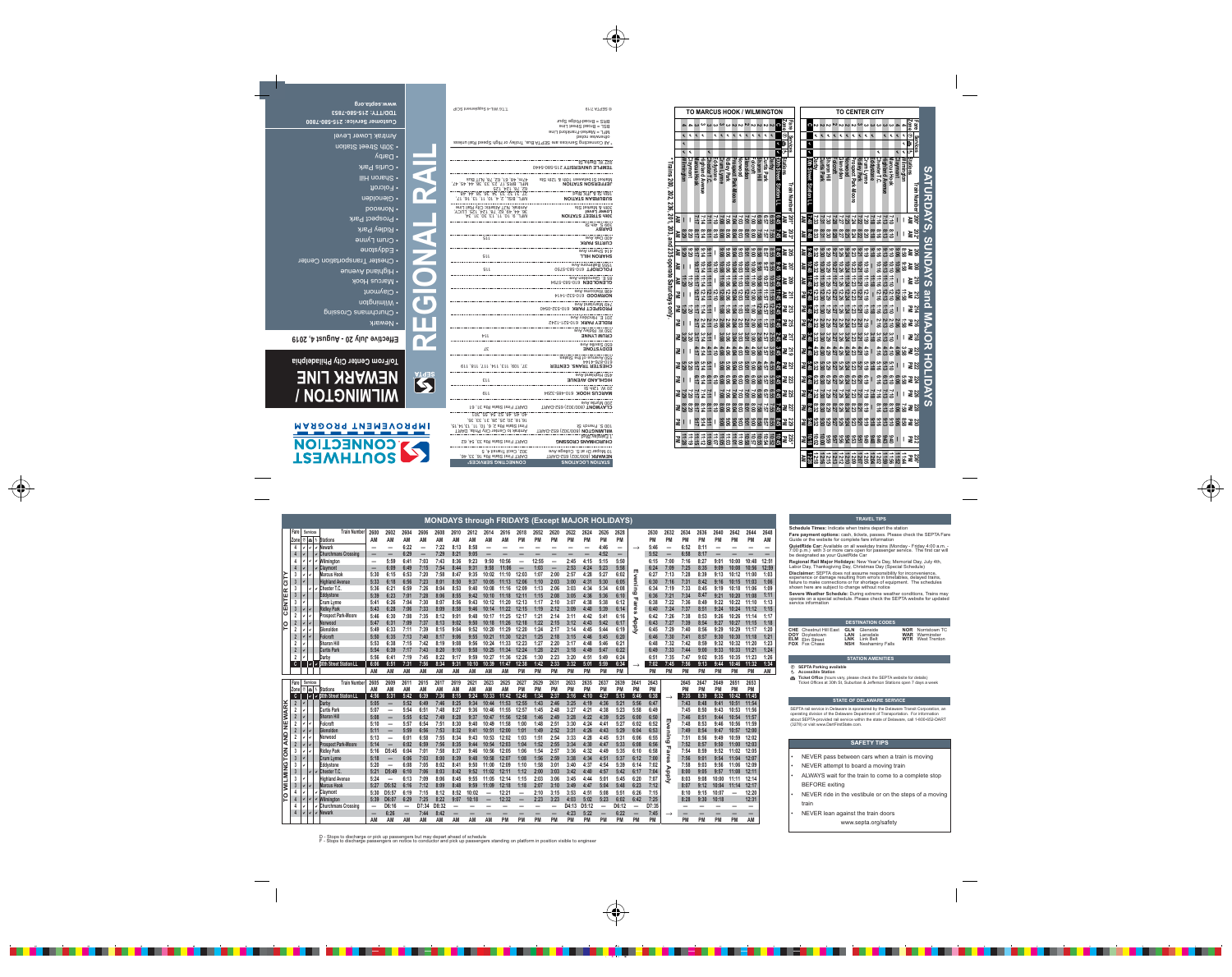**G** Ticket Office (hours vary, please check the SEPTA website for details) Ticket Offices at 30th St, Suburban & Jefferson Stations open 7 days a week

#### **STATION AMENITIES**

#### è **SEPTA Parking available** é **Accessible Station**

D - Stops to discharge or pick up passengers but may depart ahead of schedule F - Stops to discharge passengers on notice to conductor and pick up passengers standing on platform in position visible to engineer

#### **STATE OF DELAWARE SERVICE**

SEPTA rail service in Delaware is sponsored by the Delaware Transit Corporation, an operating division of the Delaware Department of Transportation. For information about SEPTA-provided rail service within the state of Delaware, call 1-800-652-DART (3278) or visit www.DartFirstState.com.

#### **DESTINATION CODES**

**CHE** Chestnut Hill East **DOY** Doylestown **ELM** Elm Street **FOX** Fox Chase

**GLN** Glenside **LAN** Lansdale **LNK** Link Belt **NSH** Neshaminy Falls

**NOR** Norristown TC **WAR** Warminster **WTR** West Trenton

**Schedule Times:** Indicate when trains depart the station

are payment options: cash, tickets, passes. Please check the SEPTA Fare and payment operator case, active, present increased in

**QuietRide Car:** Available on all weekday trains (Monday - Friday 4:00 a.m. - 7:00 p.m.) with 3 or more cars open for passenger service. The first car will be designated as your QuietRide Car

**Regional Rail Major Holidays:** New Year's Day, Memorial Day, July 4th,<br>Labor Day, Thanksgiving Day, Christmas Day (Special Schedule)

**Disclaimer:** SEPTA does not assume responsibility for inconvenience, experience or damage resulting from errors in timetables, delayed trains, failure to make connections or for shortage of equipment. The schedules shown here are subject to change without notice

**Severe Weather Schedule:** During extreme weather conditions, Trains may operate on a special schedule. Please check the SEPTA website for updated .<br>ervice information

#### **TRAVEL TIPS**

NEVER pass between cars when a train is moving

NEVER attempt to board a moving train

ALWAYS wait for the train to come to a complete stop

BEFORE exiting

 NEVER ride in the vestibule or on the steps of a moving train

NEVER lean against the train doors

www.septa.org/safety

#### **SAFETY TIPS**

**MONDAYS through FRIDAYS (Except MAJOR HOLIDAYS)**

|        | <b>Fare</b>    | <b>Services</b>      |               | <b>Train Number</b>                                            | 2600                     | 2602                     | 2604                     | 2606            | 2608      | 2610 | 2612      | 2614                     | 2616      | 2618      | 2652      | 2620      | 2622      | 2624      | 2626                     | 2628      |               | 2630      | 2632                     | 2634      | 2636      | 2640      | 2642      | 2644      | 2648  |
|--------|----------------|----------------------|---------------|----------------------------------------------------------------|--------------------------|--------------------------|--------------------------|-----------------|-----------|------|-----------|--------------------------|-----------|-----------|-----------|-----------|-----------|-----------|--------------------------|-----------|---------------|-----------|--------------------------|-----------|-----------|-----------|-----------|-----------|-------|
|        | <b>Zone</b>    |                      |               | <b>Stations</b>                                                | ΑM                       | <b>AM</b>                | ΑМ                       | AM              | АM        | ΑМ   | ΑM        | ΑM                       | ΑM        | <b>PM</b> | <b>PM</b> | PM        | <b>PM</b> | <b>PM</b> | <b>PM</b>                | <b>PM</b> |               | <b>PM</b> | <b>PM</b>                | <b>PM</b> | <b>PM</b> | <b>PM</b> | PM        | <b>PM</b> | AM    |
|        | 4              | ノーノ                  |               | ∨ Newark                                                       |                          | -                        | 6:22                     | $\qquad \qquad$ | 7:22      | 8:13 | 8:58      | -                        |           |           |           |           |           |           | 4:46                     | —         | $\rightarrow$ | 5:46      | $\overline{\phantom{0}}$ | 6:52      | 8:11      | -         |           |           | -     |
|        | $\overline{4}$ |                      |               | <b>IChurchmans Crossing</b>                                    | -                        |                          | 6:29                     |                 | 7:29      | 8:21 | 9:05      |                          |           |           |           |           |           |           | 4:52                     | —         |               | 5:52      |                          | 6:58      | 8:17      |           |           |           |       |
|        | 4              |                      |               | $\vee$ Wilmington                                              | $\overline{\phantom{0}}$ | 5:59                     | 6:41                     | 7:03            | 7:43      | 8:36 | 9:23      | 9:50                     | 10:56     |           | 12:55     |           | 2:45      | 4:15      | 5:15                     | 5:50      |               | 6:15      | 7:00                     | 7:16      | 8:27      | 9:01      | 10:00     | 10:48     | 12:51 |
|        | $\overline{4}$ |                      |               | <b>Claymont</b>                                                |                          | 6:09                     | 6:49                     | 7:15            | 7:54      | 8:44 | 9:31      | 9:58                     | 11:06     |           | 1:03      |           | 2:53      | 4:24      | 5:23                     | 5:58      |               | 6:24      | 7:09                     | 7:25      | 8:35      | 9:09      | 10:08     | 10:56     | 12:59 |
|        | 3              |                      |               | Marcus Hook                                                    | 5:30                     | 6:15                     | 6:53                     | 7:20            | 7:58      | 8:47 | 9:35      | 10:02                    | 11:10     | 12:03     | 1:07      | 2:00      | 2:57      | 4:28      | 5:27                     | 6:02      | Щ             | 6:27      | 7:13                     | 7:28      | 8:39      | 9:13      | 10:12     | 11:00     | 1:03  |
| ပ      | $\overline{3}$ |                      |               | Highland Avenue                                                | 5:33                     | 6:18                     | 6:56                     | 7:23            | 8:01      | 8:50 | 9:37      | 10:05                    | 11:13     | 12:06     | 1:10      | 2:03      | 3:00      | 4:31      | 5:30                     | 6:05      | vening        | 6:30      | 7:16                     | 7:31      | 8:42      | 9:16      | 10:15     | 11:03     | 1:06  |
| ≃      | 3              |                      |               | Chester T.C.                                                   | 5:36                     | 6:21                     | 6:59                     | 7:26            | 8:04      | 8:53 | 9:40      | 10:08                    | 11:16     | 12:09     | 1:13      | 2:06      | 3:03      | 4:34      | 5:34                     | 6:08      |               | 6:34      | 7:19                     | 7:33      | 8:45      | 9:19      | 10:18     | 11:06     | 1:09  |
| ш      | -3             |                      |               | Eddystone                                                      | 5:39                     | 6:23                     | 7:01                     | 7:28            | 8:06      | 8:55 | 9:42      | 10:10                    | 11:18     | 12:11     | 1:15      | 2:08      | 3:05      | 4:36      | 5:36                     | 6:10      |               | 6:36      | 7:21                     | 7:34      | 8:47      | 9:21      | 10:20     | 11:08     | 1:11  |
| Z      | 3              |                      |               | Crum Lynne                                                     | 5:41                     | 6:26                     | 7:04                     | 7:30            | 8:07      | 8:56 | 9:43      | 10:12                    | 11:20     | 12:13     | 1:17      | 2:10      | 3:07      | 4:38      | 5:38                     | 6:12      | m             | 6:38      | 7:22                     | 7:36      | 8:49      | 9:22      | 10:22     | 11:10     | 1:13  |
| ш      | $\mathbf{3}$   |                      |               | <b>Ridley Park</b>                                             | 5:43                     | 6:28                     | 7:06                     | 7:33            | 8:09      | 8:58 | 9:46      | 10:14                    | 11:22     | 12:15     | 1:19      | 2:12      | 3:09      | 4:40      | 5:39                     | 6:14      | are           | 6:40      | 7:24                     | 7:37      | 8:51      | 9:24      | 10:24     | 11:12     | 1:15  |
|        | $\overline{2}$ |                      |               | <b>Prospect Park-Moore</b>                                     | 5:46                     | 6:30                     | 7:08                     | 7:35            | 8:12      | 9:01 | 9:48      | 10:17                    | 11:25     | 12:17     | 1:21      | 2:14      | 3:11      | 4:42      | 5:41                     | 6:16      | <b>in</b>     | 6:42      | 7:26                     | 7:38      | 8:53      | 9:26      | 10:26     | 11:14     | 1:17  |
| O      | $\overline{2}$ |                      |               | Norwood                                                        | 5:47                     | 6:31                     | 7:09                     | 7:37            | 8:13      | 9:02 | 9:50      | 10:18                    | 11:26     | 12:18     | 1:22      | 2:15      | 3:12      | 4:43      | 5:42                     | 6:17      | Apply         | 6:43      | 7:27                     | 7:39      | 8:54      | 9:27      | 10:27     | 11:15     | 1:18  |
|        | $\overline{2}$ |                      |               | Glenolden                                                      | 5:49                     | 6:33                     | 7:11                     | 7:39            | 8:15      | 9:04 | 9:52      | 10:20                    | 11:29     | 12:20     | 1:24      | 2:17      | 3:14      | 4:45      | 5:44                     | 6:19      |               | 6:45      | 7:29                     | 7:40      | 8:56      | 9:29      | 10:29     | 11:17     | 1:20  |
|        | $\overline{2}$ |                      |               | Folcroft                                                       | 5:50                     | 6:35                     | 7:13                     | 7:40            | 8:17      | 9:06 | 9:55      | 10:21                    | 11:30     | 12:21     | 1:25      | 2:18      | 3:15      | 4:46      | 5:45                     | 6:20      |               | 6:46      | 7:30                     | 7:41      | 8:57      | 9:30      | 10:30     | 11:18     | 1:21  |
|        | $\overline{2}$ |                      |               | <b>Sharon Hill</b>                                             | 5:53                     | 6:38                     | 7:15                     | 7:42            | 8:19      | 9:08 | 9:56      | 10:24                    | 11:33     | 12:23     | 1:27      | 2:20      | 3:17      | 4:48      | 5:46                     | 6:21      |               | 6:48      | 7:32                     | 7:42      | 8:59      | 9:32      | 10:32     | 11:20     | 1:23  |
|        | $\overline{2}$ |                      |               | <b>Curtis Park</b>                                             | 5:54                     | 6:39                     | 7:17                     | 7:43            | 8:20      | 9:10 | 9:58      | 10:25                    | 11:34     | 12:24     | 1:28      | 2:21      | 3:18      | 4:49      | 5:47                     | 6:22      |               | 6:49      | 7:33                     | 7:44      | 9:00      | 9:33      | 10:33     | 11:21     | 1:24  |
|        | $\overline{2}$ |                      |               | Darby                                                          | 5:56                     | 6:41                     | 7:19                     | 7:45            | 8:22      | 9:17 | 9:59      | 10:27                    | 11:36     | 12:26     | 1:30      | 2:23      | 3:20      | 4:51      | 5:49                     | 6:24      |               | 6:51      | 7:35                     | 7:47      | 9:02      | 9:35      | 10:35     | 11:23     | 1:26  |
|        |                |                      |               | v v 30th Street Station L                                      | 6:06                     | 6:51                     | 7:31                     | 7:56            | 8:34      | 9:31 | 10:10     | 10:39                    | 11:47     | 12:38     | 1:42      | 2:33      | 3:32      | 5:01      | 5:59                     | 6:34      | $\rightarrow$ | 7:02      | 7:45                     | 7:56      | 9:13      | 9:44      | 10:46     | 11:32     | 1:34  |
|        |                |                      |               |                                                                | <b>AM</b>                | <b>AM</b>                | AM                       | <b>AM</b>       | <b>AM</b> | AM   | AM        | <b>AM</b>                | <b>AM</b> | <b>PM</b> | <b>PM</b> | PM        | <b>PM</b> | <b>PM</b> | <b>PM</b>                | <b>PM</b> |               | PM        | <b>PM</b>                | PM        | <b>PM</b> | <b>PM</b> | <b>PM</b> | <b>PM</b> | AM    |
|        |                |                      |               |                                                                |                          |                          |                          |                 |           |      |           |                          |           |           |           |           |           |           |                          |           |               |           |                          |           |           |           |           |           |       |
|        |                | <b>Fare</b> Services |               | <b>Train Number</b>                                            | 2605                     | 2609                     | 2611                     | 2615            | 2617      | 2619 | 2621      | 2623                     | 2625      | 2627      | 2629      | 2631      | 2633      | 2635      | 2637                     | 2639      | 2641          | 2643      |                          | 2645      | 2647      | 2649      | 2651      | 2653      |       |
|        |                |                      |               | Zone <sup>®</sup> 画 も Stations                                 | AM                       | <b>AM</b>                | АM                       | <b>AM</b>       | АM        |      |           | ΑM                       | <b>AM</b> | <b>PM</b> | <b>PM</b> | <b>PM</b> | <b>PM</b> | <b>PM</b> | PM                       | <b>PM</b> |               |           |                          |           |           |           | <b>PM</b> | PM        |       |
|        | C.             |                      |               |                                                                |                          |                          |                          |                 |           | AM   | <b>AM</b> |                          |           |           |           |           |           |           |                          |           | PM            | PM        |                          | <b>PM</b> | <b>PM</b> | PM        |           |           |       |
|        | $\overline{2}$ |                      |               | $\vert \cdot \vert$ $\vert \cdot \vert$ 30th Street Station LI | 4:56                     | 5:31                     | 5:42                     | 6:39            | 7:36      | 8:15 | 9:24      | 10:33                    | 11:42     | 12:46     | 1:34      | 2:37      | 3:16      | 4:10      | 4:27                     | 5:13      | 5:46          | 6:38      |                          | 7:35      | 8:39      | 9:32      | 10:42     | 11:45     |       |
| œ      |                | vI                   |               | <b>IDarby</b>                                                  | 5:05                     | -                        | 5:52                     | 6:49            | 7:46      | 8:25 | 9:34      | 10:44                    | 11:53     | 12:55     | 1:43      | 2:46      | 3:25      | 4:19      | 4:36                     | 5:21      | 5:56          | 6:47      |                          | 7:43      | 8:48      | 9:41      | 10:51     | 11:54     |       |
| ∢      |                |                      |               | <b>Curtis Park</b>                                             | 5:07                     | -                        | 5:54                     | 6:51            | 7:48      | 8:27 | 9:36      | 10:46                    | 11:55     | 12:57     | 1:45      | 2:48      | 3:27      | 4:21      | 4:38                     | 5:23      | 5:58          | 6:49      |                          | 7:45      | 8:50      | 9:43      | 10:53     | 11:56     |       |
|        | $\overline{2}$ |                      |               | <b>Sharon Hill</b>                                             | 5:08                     |                          | 5:55                     | 6:52            | 7:49      | 8:28 | 9:37      | 10:47                    | 11:56     | 12:58     | 1:46      | 2:49      | 3:28      | 4:22      | 4:39                     | 5:25      | 6:00          | 6:50      |                          | 7:46      | 8:51      | 9:44      | 10:54     | 11:57     |       |
| ш<br>z |                |                      |               | Folcroft                                                       | 5:10                     |                          | 5:57                     | 6:54            | 7:51      | 8:30 | 9:40      | 10:49                    | 11:58     | 1:00      | 1:48      | 2:51      | 3:30      | 4:24      | 4:41                     | 5:27      | 6:02          | 6:52      | ш                        | 7:48      | 8:53      | 9:46      | 10:56     | 11:59     |       |
| ≏      | $\overline{2}$ |                      |               | Glenolden                                                      | 5:11                     | –                        | 5:59                     | 6:56            | 7:53      | 8:32 | 9:41      | 10:51                    | 12:00     | 1:01      | 1:49      | 2:52      | 3:31      | 4:26      | 4:43                     | 5:29      | 6:04          | 6:53      |                          | 7:49      | 8:54      | 9:47      | 10:57     | 12:00     |       |
|        |                |                      |               | Norwood                                                        | 5:13                     | $\overline{\phantom{0}}$ | 6:01                     | 6:58            | 7:55      | 8:34 | 9:43      | 10:53                    | 12:02     | 1:03      | 1:51      | 2:54      | 3:33      | 4:28      | 4:45                     | 5:31      | 6:06          | 6:55      | venin                    | 7:51      | 8:56      | 9:49      | 10:59     | 12:02     |       |
| ⋖      | $\overline{2}$ |                      |               | <b>Prospect Park-Moore</b>                                     | 5:14                     |                          | 6:02                     | 6:59            | 7:56      | 8:35 | 9:44      | 10:54                    | 12:03     | 1:04      | 1:52      | 2:55      | 3:34      | 4:30      | 4:47                     | 5:33      | 6:08          | 6:56      | 6                        | 7:52      | 8:57      | 9:50      | 11:00     | 12:03     |       |
| z      | -3             |                      |               | <b>Ridley Park</b>                                             | 5:16                     | D5:45                    | 6:04                     | 7:01            | 7:58      | 8:37 | 9:46      | 10:56                    | 12:05     | 1:06      | 1:54      | 2:57      | 3:36      | 4:32      | 4:49                     | 5:35      | 6:10          | 6:58      | π                        | 7:54      | 8:59      | 9:52      | 11:02     | 12:05     |       |
| ō      | 3              |                      |               | <b>Crum Lynne</b>                                              | 5:18                     |                          | 6:06                     | 7:03            | 8:00      | 8:39 | 9:48      | 10:58                    | 12:07     | 1:08      | 1:56      | 2:59      | 3:38      | 4:34      | 4:51                     | 5:37      | 6:12          | 7:00      | are                      | 7:56      | 9:01      | 9:54      | 11:04     | 12:07     |       |
| ပ      | -3             |                      |               | Eddystone                                                      | 5:20                     |                          | 6:08                     | 7:05            | 8:02      | 8:41 | 9:50      | 11:00                    | 12:09     | 1:10      | 1:58      | 3:01      | 3:40      | 4:37      | 4:54                     | 5:39      | 6:14          | 7:02      | <b>S</b>                 | 7:58      | 9:03      | 9:56      | 11:06     | 12:09     |       |
| Z      | $\mathbf{3}$   |                      |               | Chester T.C.                                                   | 5:21                     | D5:49                    | 6:10                     | 7:06            | 8:03      | 8:42 | 9:52      | 11:02                    | 12:11     | 1:12      | 2:00      | 3:03      | 3:42      | 4:40      | 4:57                     | 5:42      | 6:17          | 7:04      |                          | 8:00      | 9:05      | 9:57      | 11:08     | 12:11     |       |
|        | -3             |                      |               | Highland Avenue                                                | 5:24                     |                          | 6:13                     | 7:09            | 8:06      | 8:45 | 9:55      | 11:05                    | 12:14     | 1:15      | 2:03      | 3:06      | 3:45      | 4:44      | 5:01                     | 5:45      | 6:20          | 7:07      |                          | 8:03      | 9:08      | 10:00     | 11:11     | 12:14     |       |
|        | $\overline{3}$ |                      |               | <b>Marcus Hook</b>                                             | 5:27                     | D5:52                    | 6:16                     | 7:12            | 8:09      | 8:48 | 9:59      | 11:09                    | 12:18     | 1:18      | 2:07      | 3:10      | 3:49      | 4:47      | 5:04                     | 5:48      | 6:23          | 7:12      | Andy                     | 8:07      | 9:12      | 10:04     | 11:14     | 12:17     |       |
|        | 4              |                      |               | Claymont                                                       | 5:30                     | D <sub>5</sub> :57       | 6:19                     | 7:15            | 8:12      | 8:52 | 10:02     |                          | 12:21     | -         | 2:10      | 3:15      | 3:53      | 4:51      | 5:08                     | 5:51      | 6:26          | 7:15      |                          | 8:10      | 9:15      | 10:07     |           | 12:20     |       |
|        |                |                      |               | $\vee$ Wilmington                                              | 5:39                     | D6:07                    | 6:29                     | 7:25            | 8:22      | 9:07 | 10:18     | $\overline{\phantom{0}}$ | 12:32     | —         | 2:23      | 3:23      | 4:03      | 5:02      | 5:23                     | 6:02      | 6:42          | 7:25      |                          | 8:28      | 9:30      | 10:18     |           | 12:31     |       |
| O      | 4              |                      |               | <b>Churchmans Crossing</b>                                     |                          | D6:16                    | $\overline{\phantom{0}}$ | D7:34           | D8:32     |      |           |                          |           |           |           |           | D4:13     | D5:12     | $\overline{\phantom{0}}$ | D6:12     |               | D7:35     |                          |           |           |           |           |           |       |
|        | $\overline{4}$ |                      | $\vee$ $\vee$ | Newark                                                         | -                        | 6:26                     |                          | 7:44            | 8:42      |      |           |                          |           |           |           |           | 4:23      | 5:22      |                          | 6:22      |               | 7:45      |                          |           |           |           |           | –         |       |